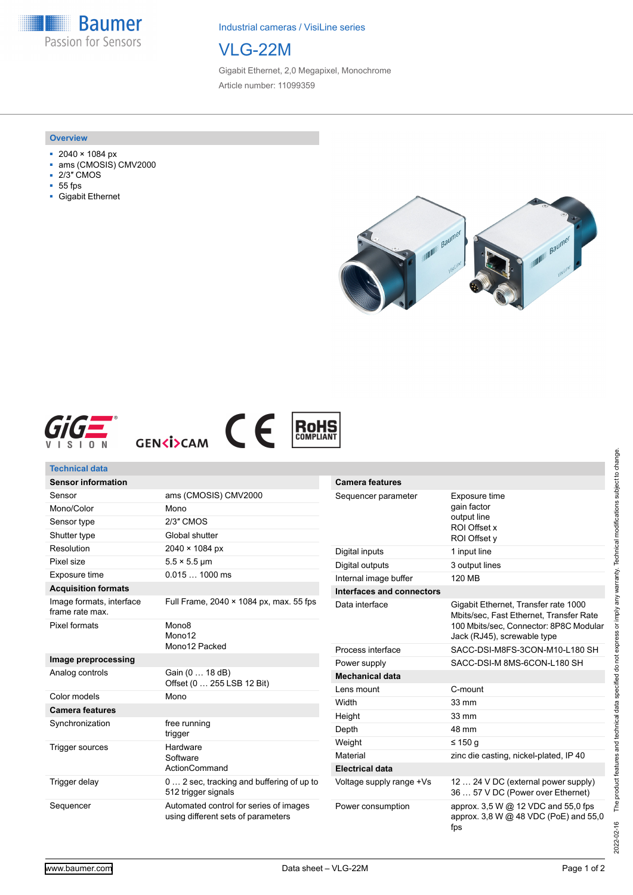**Baumer** Passion for Sensors

Industrial cameras / VisiLine series



Gigabit Ethernet, 2,0 Megapixel, Monochrome Article number: 11099359

#### **Overview**

- 2040 × 1084 px
- ams (CMOSIS) CMV2000
- 2/3″ CMOS
- 55 fps
- Gigabit Ethernet









| <b>Technical data</b>                       |                                                                  |                           |                                                                                 |
|---------------------------------------------|------------------------------------------------------------------|---------------------------|---------------------------------------------------------------------------------|
| <b>Sensor information</b>                   |                                                                  | <b>Camera features</b>    |                                                                                 |
| Sensor                                      | ams (CMOSIS) CMV2000                                             | Sequencer parameter       | Exposure time<br>gain factor<br>output line<br>ROI Offset x<br>ROI Offset v     |
| Mono/Color                                  | Mono                                                             |                           |                                                                                 |
| Sensor type                                 | 2/3" CMOS                                                        |                           |                                                                                 |
| Shutter type                                | Global shutter                                                   |                           |                                                                                 |
| Resolution                                  | $2040 \times 1084 \text{ px}$                                    | Digital inputs            | 1 input line                                                                    |
| Pixel size                                  | $5.5 \times 5.5$ µm                                              | Digital outputs           | 3 output lines                                                                  |
| Exposure time                               | $0.0151000$ ms                                                   | Internal image buffer     | 120 MB                                                                          |
| <b>Acquisition formats</b>                  |                                                                  | Interfaces and connectors |                                                                                 |
| Image formats, interface<br>frame rate max. | Full Frame, 2040 × 1084 px, max. 55 fps                          | Data interface            | Gigabit Ethernet, Transfer rate 1000<br>Mbits/sec, Fast Ethernet, Transfer Rate |
| Pixel formats                               | Mono <sub>8</sub><br>Mono12                                      |                           | 100 Mbits/sec, Connector: 8P8C Modular<br>Jack (RJ45), screwable type           |
|                                             | Mono12 Packed                                                    | Process interface         | SACC-DSI-M8FS-3CON-M10-L180 SH                                                  |
| Image preprocessing                         |                                                                  | Power supply              | SACC-DSI-M 8MS-6CON-L180 SH                                                     |
| Analog controls                             | Gain (0  18 dB)<br>Offset (0  255 LSB 12 Bit)                    | <b>Mechanical data</b>    |                                                                                 |
| Color models                                | Mono                                                             | Lens mount                | C-mount                                                                         |
| <b>Camera features</b>                      |                                                                  | Width                     | 33 mm                                                                           |
| Synchronization                             | free running                                                     | Height                    | 33 mm                                                                           |
|                                             | trigger                                                          | Depth                     | 48 mm                                                                           |
| <b>Trigger sources</b>                      | Hardware<br>Software                                             | Weight                    | $\leq 150$ q                                                                    |
|                                             |                                                                  | Material                  | zinc die casting, nickel-plated, IP 40                                          |
|                                             | ActionCommand                                                    | <b>Electrical data</b>    |                                                                                 |
| Trigger delay                               | 0  2 sec, tracking and buffering of up to<br>512 trigger signals | Voltage supply range +Vs  | 12  24 V DC (external power supply)<br>36  57 V DC (Power over Ethernet)        |
| Sequencer                                   | Automated control for series of images                           | Power consumption         | approx. 3,5 W @ 12 VDC and 55,0 fps                                             |

using different sets of parameters

The product features and technical data specified do not express or imply any warranty. Technical modifications subject to change. 2022-02-16 The product features and technical data specified do not express or imply any warranty. Technical modifications subject to change. 2022-02-16

approx. 3,8 W @ 48 VDC (PoE) and 55,0

fps